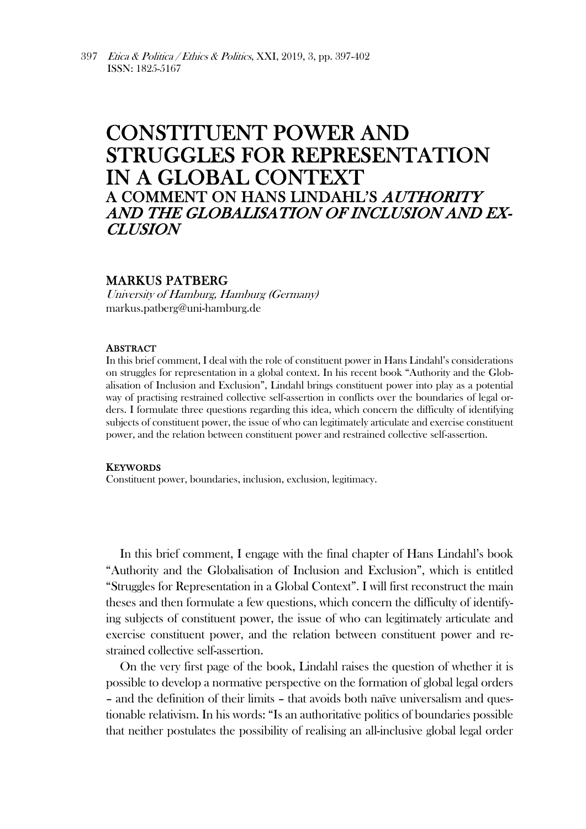# CONSTITUENT POWER AND STRUGGLES FOR REPRESENTATION IN A GLOBAL CONTEXT A COMMENT ON HANS LINDAHL'S AUTHORITY AND THE GLOBALISATION OF INCLUSION AND EX-CLUSION

## MARKUS PATBERG

University of Hamburg, Hamburg (Germany) markus.patberg@uni-hamburg.de

### ABSTRACT

In this brief comment, I deal with the role of constituent power in Hans Lindahl's considerations on struggles for representation in a global context. In his recent book "Authority and the Globalisation of Inclusion and Exclusion", Lindahl brings constituent power into play as a potential way of practising restrained collective self-assertion in conflicts over the boundaries of legal orders. I formulate three questions regarding this idea, which concern the difficulty of identifying subjects of constituent power, the issue of who can legitimately articulate and exercise constituent power, and the relation between constituent power and restrained collective self-assertion.

#### **KEYWORDS**

Constituent power, boundaries, inclusion, exclusion, legitimacy.

In this brief comment, I engage with the final chapter of Hans Lindahl's book "Authority and the Globalisation of Inclusion and Exclusion", which is entitled "Struggles for Representation in a Global Context". I will first reconstruct the main theses and then formulate a few questions, which concern the difficulty of identifying subjects of constituent power, the issue of who can legitimately articulate and exercise constituent power, and the relation between constituent power and restrained collective self-assertion.

On the very first page of the book, Lindahl raises the question of whether it is possible to develop a normative perspective on the formation of global legal orders – and the definition of their limits – that avoids both naïve universalism and questionable relativism. In his words: "Is an authoritative politics of boundaries possible that neither postulates the possibility of realising an all-inclusive global legal order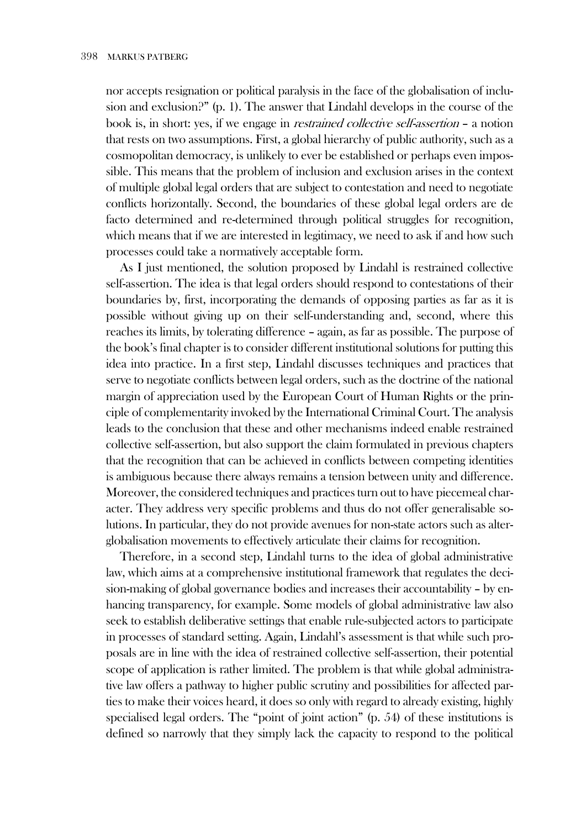nor accepts resignation or political paralysis in the face of the globalisation of inclusion and exclusion?" (p. 1). The answer that Lindahl develops in the course of the book is, in short: yes, if we engage in *restrained collective self-assertion* – a notion that rests on two assumptions. First, a global hierarchy of public authority, such as a cosmopolitan democracy, is unlikely to ever be established or perhaps even impossible. This means that the problem of inclusion and exclusion arises in the context of multiple global legal orders that are subject to contestation and need to negotiate conflicts horizontally. Second, the boundaries of these global legal orders are de facto determined and re-determined through political struggles for recognition, which means that if we are interested in legitimacy, we need to ask if and how such processes could take a normatively acceptable form.

As I just mentioned, the solution proposed by Lindahl is restrained collective self-assertion. The idea is that legal orders should respond to contestations of their boundaries by, first, incorporating the demands of opposing parties as far as it is possible without giving up on their self-understanding and, second, where this reaches its limits, by tolerating difference – again, as far as possible. The purpose of the book's final chapter is to consider different institutional solutions for putting this idea into practice. In a first step, Lindahl discusses techniques and practices that serve to negotiate conflicts between legal orders, such as the doctrine of the national margin of appreciation used by the European Court of Human Rights or the principle of complementarity invoked by the International Criminal Court. The analysis leads to the conclusion that these and other mechanisms indeed enable restrained collective self-assertion, but also support the claim formulated in previous chapters that the recognition that can be achieved in conflicts between competing identities is ambiguous because there always remains a tension between unity and difference. Moreover, the considered techniques and practices turn out to have piecemeal character. They address very specific problems and thus do not offer generalisable solutions. In particular, they do not provide avenues for non-state actors such as alterglobalisation movements to effectively articulate their claims for recognition.

Therefore, in a second step, Lindahl turns to the idea of global administrative law, which aims at a comprehensive institutional framework that regulates the decision-making of global governance bodies and increases their accountability – by enhancing transparency, for example. Some models of global administrative law also seek to establish deliberative settings that enable rule-subjected actors to participate in processes of standard setting. Again, Lindahl's assessment is that while such proposals are in line with the idea of restrained collective self-assertion, their potential scope of application is rather limited. The problem is that while global administrative law offers a pathway to higher public scrutiny and possibilities for affected parties to make their voices heard, it does so only with regard to already existing, highly specialised legal orders. The "point of joint action" (p. 54) of these institutions is defined so narrowly that they simply lack the capacity to respond to the political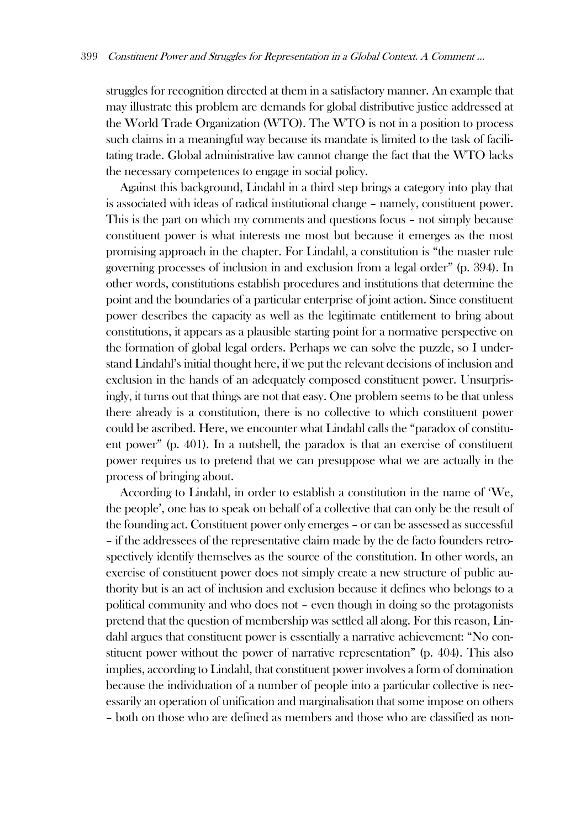struggles for recognition directed at them in a satisfactory manner. An example that may illustrate this problem are demands for global distributive justice addressed at the World Trade Organization (WTO). The WTO is not in a position to process such claims in a meaningful way because its mandate is limited to the task of facilitating trade. Global administrative law cannot change the fact that the WTO lacks the necessary competences to engage in social policy.

Against this background, Lindahl in a third step brings a category into play that is associated with ideas of radical institutional change – namely, constituent power. This is the part on which my comments and questions focus – not simply because constituent power is what interests me most but because it emerges as the most promising approach in the chapter. For Lindahl, a constitution is "the master rule governing processes of inclusion in and exclusion from a legal order" (p. 394). In other words, constitutions establish procedures and institutions that determine the point and the boundaries of a particular enterprise of joint action. Since constituent power describes the capacity as well as the legitimate entitlement to bring about constitutions, it appears as a plausible starting point for a normative perspective on the formation of global legal orders. Perhaps we can solve the puzzle, so I understand Lindahl's initial thought here, if we put the relevant decisions of inclusion and exclusion in the hands of an adequately composed constituent power. Unsurprisingly, it turns out that things are not that easy. One problem seems to be that unless there already is a constitution, there is no collective to which constituent power could be ascribed. Here, we encounter what Lindahl calls the "paradox of constituent power" (p. 401). In a nutshell, the paradox is that an exercise of constituent power requires us to pretend that we can presuppose what we are actually in the process of bringing about.

According to Lindahl, in order to establish a constitution in the name of 'We, the people', one has to speak on behalf of a collective that can only be the result of the founding act. Constituent power only emerges – or can be assessed as successful – if the addressees of the representative claim made by the de facto founders retrospectively identify themselves as the source of the constitution. In other words, an exercise of constituent power does not simply create a new structure of public authority but is an act of inclusion and exclusion because it defines who belongs to a political community and who does not – even though in doing so the protagonists pretend that the question of membership was settled all along. For this reason, Lindahl argues that constituent power is essentially a narrative achievement: "No constituent power without the power of narrative representation" (p. 404). This also implies, according to Lindahl, that constituent power involves a form of domination because the individuation of a number of people into a particular collective is necessarily an operation of unification and marginalisation that some impose on others – both on those who are defined as members and those who are classified as non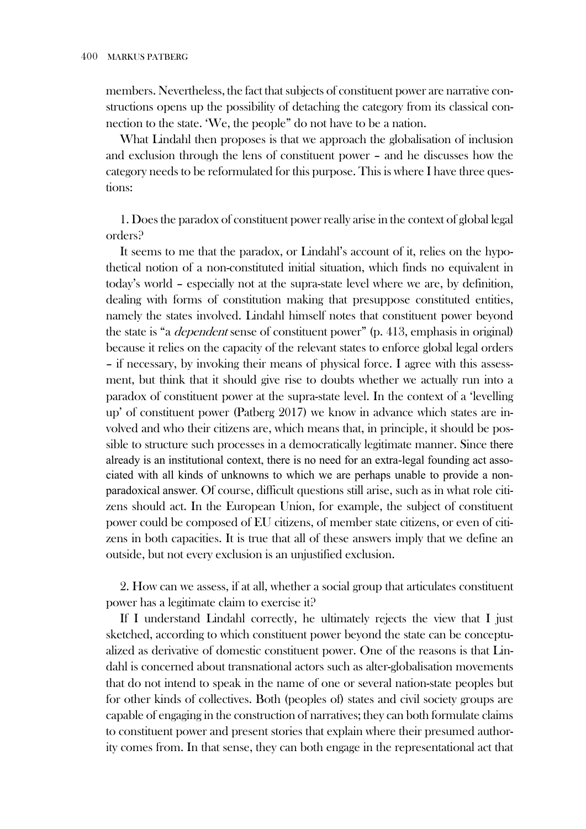members. Nevertheless, the fact that subjects of constituent power are narrative constructions opens up the possibility of detaching the category from its classical connection to the state. 'We, the people" do not have to be a nation.

What Lindahl then proposes is that we approach the globalisation of inclusion and exclusion through the lens of constituent power – and he discusses how the category needs to be reformulated for this purpose. This is where I have three questions:

1. Does the paradox of constituent power really arise in the context of global legal orders?

It seems to me that the paradox, or Lindahl's account of it, relies on the hypothetical notion of a non-constituted initial situation, which finds no equivalent in today's world – especially not at the supra-state level where we are, by definition, dealing with forms of constitution making that presuppose constituted entities, namely the states involved. Lindahl himself notes that constituent power beyond the state is "a dependent sense of constituent power" (p. 413, emphasis in original) because it relies on the capacity of the relevant states to enforce global legal orders – if necessary, by invoking their means of physical force. I agree with this assessment, but think that it should give rise to doubts whether we actually run into a paradox of constituent power at the supra-state level. In the context of a 'levelling up' of constituent power (Patberg 2017) we know in advance which states are involved and who their citizens are, which means that, in principle, it should be possible to structure such processes in a democratically legitimate manner. Since there already is an institutional context, there is no need for an extra-legal founding act associated with all kinds of unknowns to which we are perhaps unable to provide a nonparadoxical answer. Of course, difficult questions still arise, such as in what role citizens should act. In the European Union, for example, the subject of constituent power could be composed of EU citizens, of member state citizens, or even of citizens in both capacities. It is true that all of these answers imply that we define an outside, but not every exclusion is an unjustified exclusion.

2. How can we assess, if at all, whether a social group that articulates constituent power has a legitimate claim to exercise it?

If I understand Lindahl correctly, he ultimately rejects the view that I just sketched, according to which constituent power beyond the state can be conceptualized as derivative of domestic constituent power. One of the reasons is that Lindahl is concerned about transnational actors such as alter-globalisation movements that do not intend to speak in the name of one or several nation-state peoples but for other kinds of collectives. Both (peoples of) states and civil society groups are capable of engaging in the construction of narratives; they can both formulate claims to constituent power and present stories that explain where their presumed authority comes from. In that sense, they can both engage in the representational act that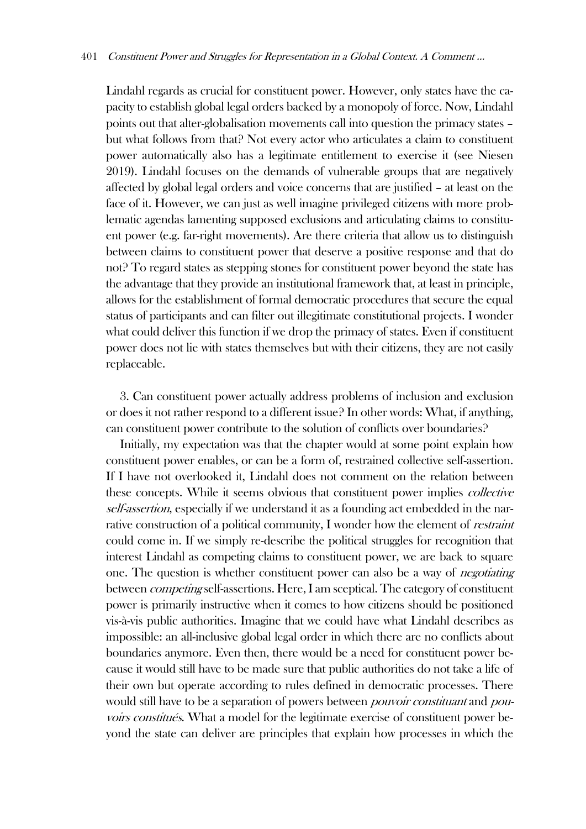Lindahl regards as crucial for constituent power. However, only states have the capacity to establish global legal orders backed by a monopoly of force. Now, Lindahl points out that alter-globalisation movements call into question the primacy states – but what follows from that? Not every actor who articulates a claim to constituent power automatically also has a legitimate entitlement to exercise it (see Niesen 2019). Lindahl focuses on the demands of vulnerable groups that are negatively affected by global legal orders and voice concerns that are justified – at least on the face of it. However, we can just as well imagine privileged citizens with more problematic agendas lamenting supposed exclusions and articulating claims to constituent power (e.g. far-right movements). Are there criteria that allow us to distinguish between claims to constituent power that deserve a positive response and that do not? To regard states as stepping stones for constituent power beyond the state has the advantage that they provide an institutional framework that, at least in principle, allows for the establishment of formal democratic procedures that secure the equal status of participants and can filter out illegitimate constitutional projects. I wonder what could deliver this function if we drop the primacy of states. Even if constituent power does not lie with states themselves but with their citizens, they are not easily replaceable.

3. Can constituent power actually address problems of inclusion and exclusion or does it not rather respond to a different issue? In other words: What, if anything, can constituent power contribute to the solution of conflicts over boundaries?

Initially, my expectation was that the chapter would at some point explain how constituent power enables, or can be a form of, restrained collective self-assertion. If I have not overlooked it, Lindahl does not comment on the relation between these concepts. While it seems obvious that constituent power implies *collective* self-assertion, especially if we understand it as a founding act embedded in the narrative construction of a political community, I wonder how the element of *restraint* could come in. If we simply re-describe the political struggles for recognition that interest Lindahl as competing claims to constituent power, we are back to square one. The question is whether constituent power can also be a way of *negotiating* between competing self-assertions. Here, I am sceptical. The category of constituent power is primarily instructive when it comes to how citizens should be positioned vis-à-vis public authorities. Imagine that we could have what Lindahl describes as impossible: an all-inclusive global legal order in which there are no conflicts about boundaries anymore. Even then, there would be a need for constituent power because it would still have to be made sure that public authorities do not take a life of their own but operate according to rules defined in democratic processes. There would still have to be a separation of powers between *pouvoir constituant* and *pou*voirs constitués. What a model for the legitimate exercise of constituent power beyond the state can deliver are principles that explain how processes in which the